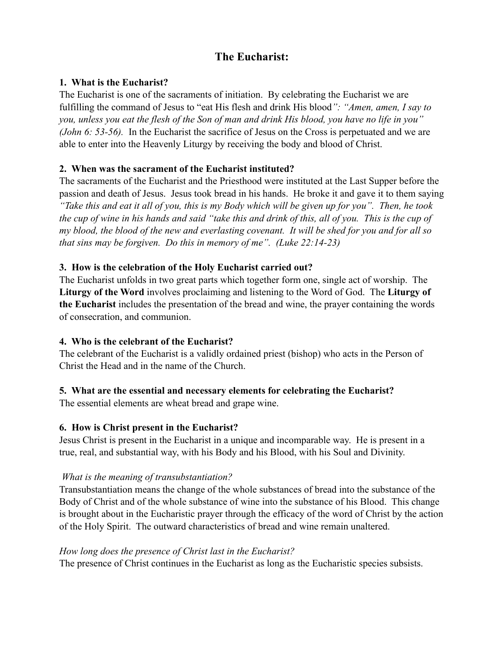# **The Eucharist:**

### **1. What is the Eucharist?**

The Eucharist is one of the sacraments of initiation. By celebrating the Eucharist we are fulfilling the command of Jesus to "eat His flesh and drink His blood*": "Amen, amen, I say to you, unless you eat the flesh of the Son of man and drink His blood, you have no life in you" (John 6: 53-56).* In the Eucharist the sacrifice of Jesus on the Cross is perpetuated and we are able to enter into the Heavenly Liturgy by receiving the body and blood of Christ.

## **2. When was the sacrament of the Eucharist instituted?**

The sacraments of the Eucharist and the Priesthood were instituted at the Last Supper before the passion and death of Jesus. Jesus took bread in his hands. He broke it and gave it to them saying *"Take this and eat it all of you, this is my Body which will be given up for you". Then, he took the cup of wine in his hands and said "take this and drink of this, all of you. This is the cup of my blood, the blood of the new and everlasting covenant. It will be shed for you and for all so that sins may be forgiven. Do this in memory of me". (Luke 22:14-23)*

## **3. How is the celebration of the Holy Eucharist carried out?**

The Eucharist unfolds in two great parts which together form one, single act of worship. The **Liturgy of the Word** involves proclaiming and listening to the Word of God. The **Liturgy of the Eucharist** includes the presentation of the bread and wine, the prayer containing the words of consecration, and communion.

#### **4. Who is the celebrant of the Eucharist?**

The celebrant of the Eucharist is a validly ordained priest (bishop) who acts in the Person of Christ the Head and in the name of the Church.

# **5. What are the essential and necessary elements for celebrating the Eucharist?**

The essential elements are wheat bread and grape wine.

#### **6. How is Christ present in the Eucharist?**

Jesus Christ is present in the Eucharist in a unique and incomparable way. He is present in a true, real, and substantial way, with his Body and his Blood, with his Soul and Divinity.

#### *What is the meaning of transubstantiation?*

Transubstantiation means the change of the whole substances of bread into the substance of the Body of Christ and of the whole substance of wine into the substance of his Blood. This change is brought about in the Eucharistic prayer through the efficacy of the word of Christ by the action of the Holy Spirit. The outward characteristics of bread and wine remain unaltered.

#### *How long does the presence of Christ last in the Eucharist?*

The presence of Christ continues in the Eucharist as long as the Eucharistic species subsists.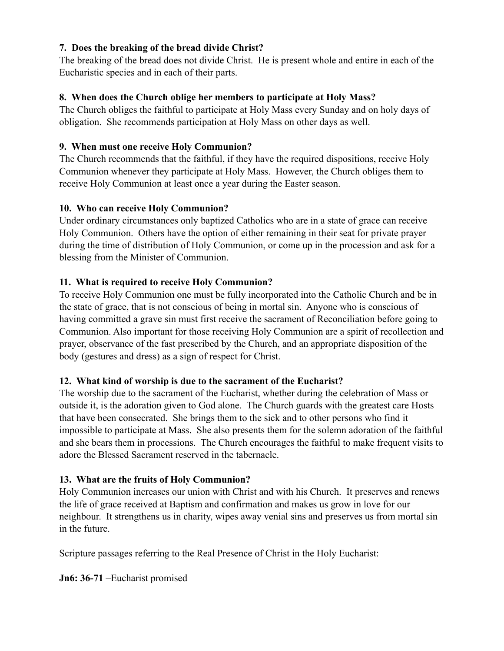## **7. Does the breaking of the bread divide Christ?**

The breaking of the bread does not divide Christ. He is present whole and entire in each of the Eucharistic species and in each of their parts.

## **8. When does the Church oblige her members to participate at Holy Mass?**

The Church obliges the faithful to participate at Holy Mass every Sunday and on holy days of obligation. She recommends participation at Holy Mass on other days as well.

## **9. When must one receive Holy Communion?**

The Church recommends that the faithful, if they have the required dispositions, receive Holy Communion whenever they participate at Holy Mass. However, the Church obliges them to receive Holy Communion at least once a year during the Easter season.

## **10. Who can receive Holy Communion?**

Under ordinary circumstances only baptized Catholics who are in a state of grace can receive Holy Communion. Others have the option of either remaining in their seat for private prayer during the time of distribution of Holy Communion, or come up in the procession and ask for a blessing from the Minister of Communion.

# **11. What is required to receive Holy Communion?**

To receive Holy Communion one must be fully incorporated into the Catholic Church and be in the state of grace, that is not conscious of being in mortal sin. Anyone who is conscious of having committed a grave sin must first receive the sacrament of Reconciliation before going to Communion. Also important for those receiving Holy Communion are a spirit of recollection and prayer, observance of the fast prescribed by the Church, and an appropriate disposition of the body (gestures and dress) as a sign of respect for Christ.

#### **12. What kind of worship is due to the sacrament of the Eucharist?**

The worship due to the sacrament of the Eucharist, whether during the celebration of Mass or outside it, is the adoration given to God alone. The Church guards with the greatest care Hosts that have been consecrated. She brings them to the sick and to other persons who find it impossible to participate at Mass. She also presents them for the solemn adoration of the faithful and she bears them in processions. The Church encourages the faithful to make frequent visits to adore the Blessed Sacrament reserved in the tabernacle.

#### **13. What are the fruits of Holy Communion?**

Holy Communion increases our union with Christ and with his Church. It preserves and renews the life of grace received at Baptism and confirmation and makes us grow in love for our neighbour. It strengthens us in charity, wipes away venial sins and preserves us from mortal sin in the future.

Scripture passages referring to the Real Presence of Christ in the Holy Eucharist:

**Jn6: 36-71** –Eucharist promised